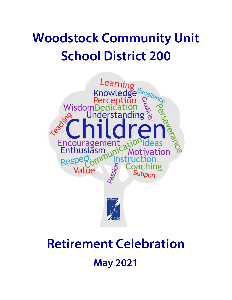# **Woodstock Community Unit School District 200**



# **Retirement Celebration May 2021**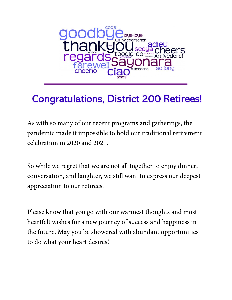

## **Congratulations, District 200 Retirees!**

As with so many of our recent programs and gatherings, the pandemic made it impossible to hold our traditional retirement celebration in 2020 and 2021.

So while we regret that we are not all together to enjoy dinner, conversation, and laughter, we still want to express our deepest appreciation to our retirees.

Please know that you go with our warmest thoughts and most heartfelt wishes for a new journey of success and happiness in the future. May you be showered with abundant opportunities to do what your heart desires!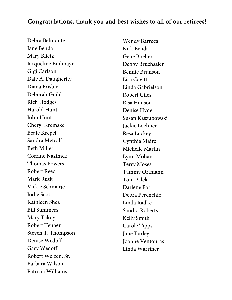#### Congratulations, thank you and best wishes to all of our retirees!

Debra Belmonte Jane Benda Mary Blietz Jacqueline Budmayr Gigi Carlson Dale A. Daugherity Diana Frisbie Deborah Guild Rich Hodges Harold Hunt John Hunt Cheryl Kremske Beate Krepel Sandra Metcalf Beth Miller Corrine Nazimek Thomas Powers Robert Reed Mark Rusk Vickie Schmarje Jodie Scott Kathleen Shea Bill Summers Mary Takoy Robert Teuber Steven T. Thompson Denise Wedoff Gary Wedoff Robert Welzen, Sr. Barbara Wilson Patricia Williams

Wendy Barreca Kirk Benda Gene Boelter Debby Bruchsaler Bennie Brunson Lisa Cavitt Linda Gabrielson Robert Giles Risa Hanson Denise Hyde Susan Kaszubowski Jackie Loehner Resa Luckey Cynthia Maire Michelle Martin Lynn Mohan Terry Moses Tammy Ortmann Tom Palek Darlene Parr Debra Perenchio Linda Radke Sandra Roberts Kelly Smith Carole Tipps Jane Turley Joanne Ventouras Linda Warriner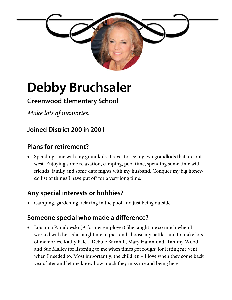

# **Debby Bruchsaler**

### **Greenwood Elementary School**

*Make lots of memories.*

### **Joined District 200 in 2001**

#### **Plans for retirement?**

• Spending time with my grandkids. Travel to see my two grandkids that are out west. Enjoying some relaxation, camping, pool time, spending some time with friends, family and some date nights with my husband. Conquer my big honeydo list of things I have put off for a very long time.

#### **Any special interests or hobbies?**

Camping, gardening, relaxing in the pool and just being outside

#### **Someone special who made a difference?**

 Louanna Paradowski (A former employer) She taught me so much when I worked with her. She taught me to pick and choose my battles and to make lots of memories. Kathy Palek, Debbie Barnhill, Mary Hammond, Tammy Wood and Sue Malley for listening to me when times got rough; for letting me vent when I needed to. Most importantly, the children – I love when they come back years later and let me know how much they miss me and being here.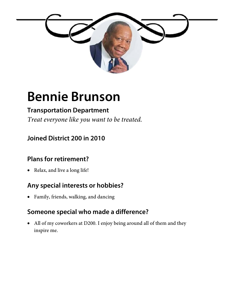

## **Bennie Brunson**

### **Transportation Department**

*Treat everyone like you want to be treated.*

### **Joined District 200 in 2010**

#### **Plans for retirement?**

• Relax, and live a long life!

## **Any special interests or hobbies?**

Family, friends, walking, and dancing

#### **Someone special who made a difference?**

 All of my coworkers at D200. I enjoy being around all of them and they inspire me.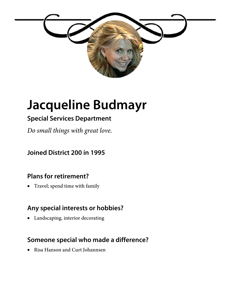

# **Jacqueline Budmayr**

### **Special Services Department**

*Do small things with great love.*

**Joined District 200 in 1995** 

#### **Plans for retirement?**

• Travel; spend time with family

#### **Any special interests or hobbies?**

Landscaping, interior decorating

#### **Someone special who made a difference?**

Risa Hanson and Curt Johannsen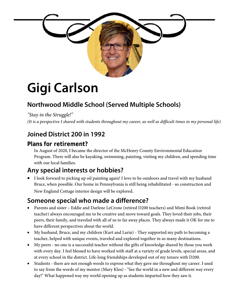

# **Gigi Carlson**

## **Northwood Middle School (Served Multiple Schools)**

*"Stay in the Struggle!" (It is a perspective I shared with students throughout my career, as well as difficult times in my personal life)*

### **Joined District 200 in 1992**

#### **Plans for retirement?**

In August of 2020, I became the director of the McHenry County Environmental Education Program. There will also be kayaking, swimming, painting, visiting my children, and spending time with our local families.

#### **Any special interests or hobbies?**

 I look forward to picking up oil painting again! I love to be outdoors and travel with my husband Bruce, when possible. Our home in Pennsylvania is still being rehabilitated - so construction and New England Cottage interior design will be explored.

#### **Someone special who made a difference?**

- Parents and sister Eddie and Darlene LeCrone (retired D200 teachers) and Mimi Book (retired teacher) always encouraged me to be creative and move toward goals. They loved their jobs, their peers, their family, and traveled with all of us to far away places. They always made it OK for me to have different perspectives about the world.
- My husband, Bruce, and my children (Kurt and Larin) They supported my path to becoming a teacher, helped with unique events, traveled and explored together in so many destinations.
- My peers no one is a successful teacher without the gifts of knowledge shared by those you work with every day. I feel blessed to have worked with staff at a variety of grade levels, special areas, and at every school in the district. Life-long friendships developed out of my tenure with D200.
- Students there are not enough words to express what they gave me throughout my career. I used to say from the words of my mentor (Mary Klos) - "See the world in a new and different way every day!" What happened way my world opening up as students imparted how they saw it.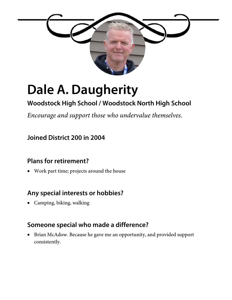

# **Dale A. Daugherity**

### **Woodstock High School / Woodstock North High School**

*Encourage and support those who undervalue themselves.*

#### **Joined District 200 in 2004**

#### **Plans for retirement?**

Work part time; projects around the house

#### **Any special interests or hobbies?**

Camping, biking, walking

#### **Someone special who made a difference?**

• Brian McAdow. Because he gave me an opportunity, and provided support consistently.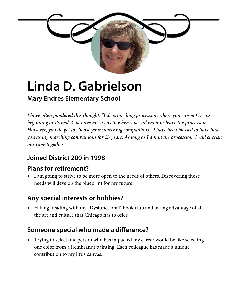

# **Linda D. Gabrielson**

#### **Mary Endres Elementary School**

*I have often pondered this thought. "Life is one long procession where you can not see its beginning or its end. You have no say as to when you will enter or leave the procession. However, you do get to choose your marching companions." I have been blessed to have had you as my marching companions for 23 years. As long as I am in the procession, I will cherish our time together.*

### **Joined District 200 in 1998**

#### **Plans for retirement?**

• I am going to strive to be more open to the needs of others. Discovering those needs will develop the blueprint for my future.

### **Any special interests or hobbies?**

 Hiking, reading with my "Dysfunctional" book club and taking advantage of all the art and culture that Chicago has to offer.

### **Someone special who made a difference?**

 Trying to select one person who has impacted my career would be like selecting one color from a Rembrandt painting. Each colleague has made a unique contribution to my life's canvas.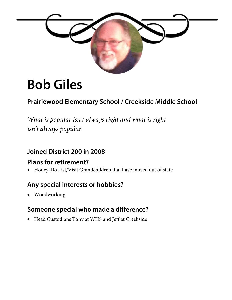

# **Bob Giles**

### **Prairiewood Elementary School / Creekside Middle School**

*What is popular isn't always right and what is right isn't always popular.*

#### **Joined District 200 in 2008**

#### **Plans for retirement?**

Honey-Do List/Visit Grandchildren that have moved out of state

#### **Any special interests or hobbies?**

Woodworking

#### **Someone special who made a difference?**

Head Custodians Tony at WHS and Jeff at Creekside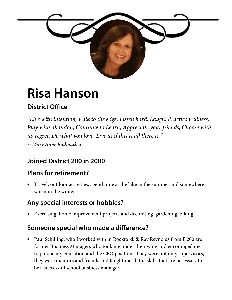

# **Risa Hanson**

## **District Office**

*"Live with intention, walk to the edge, Listen hard, Laugh, Practice wellness, Play with abandon, Continue to Learn, Appreciate your friends, Choose with no regret, Do what you love, Live as if this is all there is." ~ Mary Anne Radmacher*

### **Joined District 200 in 2000**

#### **Plans for retirement?**

 Travel, outdoor activities, spend time at the lake in the summer and somewhere warm in the winter

#### **Any special interests or hobbies?**

Exercising, home improvement projects and decorating, gardening, biking

#### **Someone special who made a difference?**

• Paul Schilling, who I worked with in Rockford, & Ray Reynolds from D200 are former Business Managers who took me under their wing and encouraged me to pursue my education and the CFO position. They were not only supervisors, they were mentors and friends and taught me all the skills that are necessary to be a successful school business manager.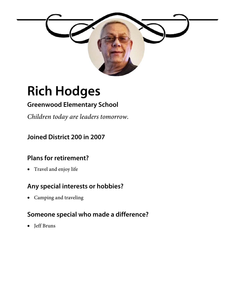

# **Rich Hodges**

### **Greenwood Elementary School**

*Children today are leaders tomorrow.* 

#### **Joined District 200 in 2007**

#### **Plans for retirement?**

Travel and enjoy life

### **Any special interests or hobbies?**

Camping and traveling

#### **Someone special who made a difference?**

• Jeff Bruns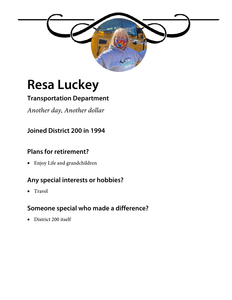

# **Resa Luckey**

## **Transportation Department**

*Another day, Another dollar* 

### **Joined District 200 in 1994**

#### **Plans for retirement?**

Enjoy Life and grandchildren

### **Any special interests or hobbies?**

• Travel

### **Someone special who made a difference?**

• District 200 itself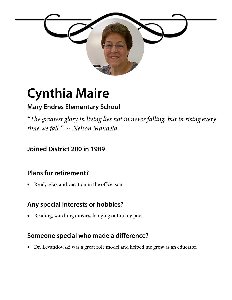

# **Cynthia Maire**

## **Mary Endres Elementary School**

*"The greatest glory in living lies not in never falling, but in rising every time we fall." ~ Nelson Mandela* 

#### **Joined District 200 in 1989**

### **Plans for retirement?**

Read, relax and vacation in the off season

#### **Any special interests or hobbies?**

Reading, watching movies, hanging out in my pool

### **Someone special who made a difference?**

Dr. Levandowski was a great role model and helped me grow as an educator.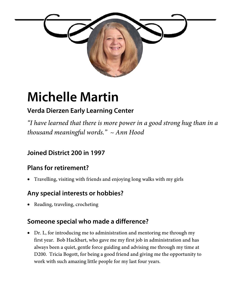

# **Michelle Martin**

## **Verda Dierzen Early Learning Center**

*"I have learned that there is more power in a good strong hug than in a thousand meaningful words." ~ Ann Hood* 

### **Joined District 200 in 1997**

### **Plans for retirement?**

Travelling, visiting with friends and enjoying long walks with my girls

#### **Any special interests or hobbies?**

• Reading, traveling, crocheting

#### **Someone special who made a difference?**

 Dr. L, for introducing me to administration and mentoring me through my first year. Bob Hackbart, who gave me my first job in administration and has always been a quiet, gentle force guiding and advising me through my time at D200. Tricia Bogott, for being a good friend and giving me the opportunity to work with such amazing little people for my last four years.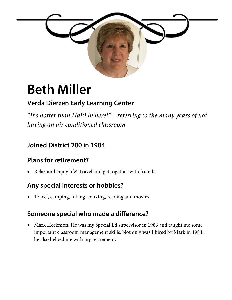

# **Beth Miller**

### **Verda Dierzen Early Learning Center**

*"It's hotter than Haiti in here!" – referring to the many years of not having an air conditioned classroom.* 

### **Joined District 200 in 1984**

### **Plans for retirement?**

Relax and enjoy life! Travel and get together with friends.

### **Any special interests or hobbies?**

Travel, camping, hiking, cooking, reading and movies

### **Someone special who made a difference?**

 Mark Heckmon. He was my Special Ed supervisor in 1986 and taught me some important classroom management skills. Not only was I hired by Mark in 1984, he also helped me with my retirement.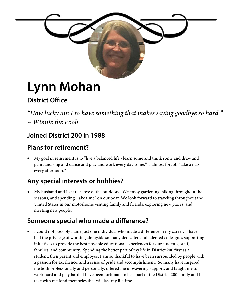

# **Lynn Mohan**

## **District Office**

*"How lucky am I to have something that makes saying goodbye so hard." ~ Winnie the Pooh* 

### **Joined District 200 in 1988**

#### **Plans for retirement?**

 My goal in retirement is to "live a balanced life - learn some and think some and draw and paint and sing and dance and play and work every day some." I almost forgot, "take a nap every afternoon."

### **Any special interests or hobbies?**

 My husband and I share a love of the outdoors. We enjoy gardening, hiking throughout the seasons, and spending "lake time" on our boat. We look forward to traveling throughout the United States in our motorhome visiting family and friends, exploring new places, and meeting new people.

#### **Someone special who made a difference?**

 I could not possibly name just one individual who made a difference in my career. I have had the privilege of working alongside so many dedicated and talented colleagues supporting initiatives to provide the best possible educational experiences for our students, staff, families, and community. Spending the better part of my life in District 200 first as a student, then parent and employee, I am so thankful to have been surrounded by people with a passion for excellence, and a sense of pride and accomplishment. So many have inspired me both professionally and personally, offered me unwavering support, and taught me to work hard and play hard. I have been fortunate to be a part of the District 200 family and I take with me fond memories that will last my lifetime.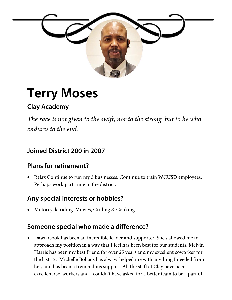

# **Terry Moses**

## **Clay Academy**

*The race is not given to the swift, nor to the strong, but to he who endures to the end.* 

#### **Joined District 200 in 2007**

#### **Plans for retirement?**

• Relax Continue to run my 3 businesses. Continue to train WCUSD employees. Perhaps work part-time in the district.

#### **Any special interests or hobbies?**

Motorcycle riding. Movies, Grilling & Cooking.

#### **Someone special who made a difference?**

 Dawn Cook has been an incredible leader and supporter. She's allowed me to approach my position in a way that I feel has been best for our students. Melvin Harris has been my best friend for over 25 years and my excellent coworker for the last 12. Michelle Bohacz has always helped me with anything I needed from her, and has been a tremendous support. All the staff at Clay have been excellent Co-workers and I couldn't have asked for a better team to be a part of.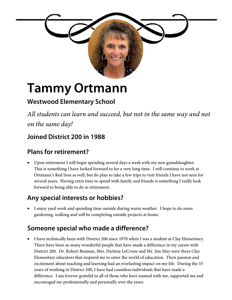

# **Tammy Ortmann**

### **Westwood Elementary School**

*All students can learn and succeed, but not in the same way and not on the same day!* 

#### **Joined District 200 in 1988**

### **Plans for retirement?**

 Upon retirement I will begin spending several days a week with my new granddaughter. This is something I have looked forward to for a very long time. I will continue to work at Ortmann's Red Iron as well, but do plan to take a few trips to visit friends I have not seen for several years. Having extra time to spend with family and friends is something I really look forward to being able to do in retirement.

### **Any special interests or hobbies?**

 I enjoy yard work and spending time outside during warm weather. I hope to do more gardening, walking and will be completing outside projects at home.

### **Someone special who made a difference?**

• I have technically been with District 200 since 1970 when I was a student at Clay Elementary. There have been so many wonderful people that have made a difference in my career with District 200. Dr. Robert Bosman, Mrs. Darlene LeCrone and Mr. Jim May were three Clay Elementary educators that inspired me to enter the world of education. Their passion and excitement about teaching and learning had an everlasting impact on my life. During the 33 years of working in District 200, I have had countless individuals that have made a difference. I am forever grateful to all of those who have teamed with me, supported me and encouraged me professionally and personally over the years.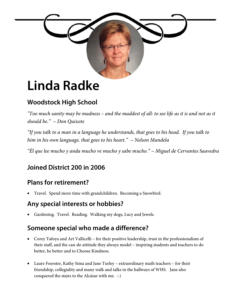

## **Linda Radke**

## **Woodstock High School**

*"Too much sanity may be madness – and the maddest of all: to see life as it is and not as it should be." ~ Don Quixote* 

*"If you talk to a man in a language he understands, that goes to his head. If you talk to him in his own language, that goes to his heart." ~ Nelson Mandela* 

*"Él que lee mucho y anda mucho ve mucho y sabe mucho." ~ Miguel de Cervantes Saavedra* 

## **Joined District 200 in 2006**

### **Plans for retirement?**

Travel. Spend more time with grandchildren. Becoming a Snowbird.

#### **Any special interests or hobbies?**

Gardening. Travel. Reading. Walking my dogs, Lucy and Jewels.

#### **Someone special who made a difference?**

- Corey Tafoya and Art Vallicelli for their positive leadership, trust in the professionalism of their staff, and the can-do attitude they always model – inspiring students and teachers to do better, be better and to Choose Kindness.
- Laure Foerster, Kathy Sima and Jane Turley extraordinary math teachers for their friendship, collegiality and many walk and talks in the hallways of WHS. Jane also conquered the stairs to the Alcázar with me. :-)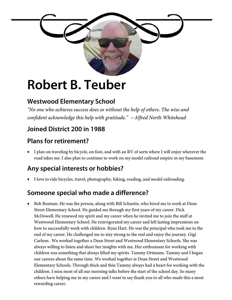

# **Robert B. Teuber**

### **Westwood Elementary School**

*"No one who achieves success does so without the help of others. The wise and confident acknowledge this help with gratitude." ~ Alfred North Whitehead*

### **Joined District 200 in 1988**

#### **Plans for retirement?**

 I plan on traveling by bicycle, on foot, and with an RV of sorts where I will enjoy wherever the road takes me. I also plan to continue to work on my model railroad empire in my basement.

#### **Any special interests or hobbies?**

I love to ride bicycles, travel, photography, hiking, reading, and model railroading.

### **Someone special who made a difference?**

 Bob Bosman. He was the person, along with Bill Schuette, who hired me to work at Dean Street Elementary School. He guided me through my first years of my career. Dick McDowell. He renewed my spirit and my career when he invited me to join the staff at Westwood Elementary School. He reinvigorated my career and left lasting impressions on how to successfully work with children. Ryan Hart. He was the principal who took me to the end of my career. He challenged me to stay strong to the end and enjoy the journey. Gigi Carlson. We worked together a Dean Street and Westwood Elementary Schools. She was always willing to listen and share her insights with me. Her enthusiasm for working with children was something that always lifted my spirits. Tammy Ortmann. Tammy and I began our careers about the same time. We worked together at Dean Street and Westwood Elementary Schools. Through thick and thin Tammy always had a heart for working with the children. I miss most of all our morning talks before the start of the school day. So many others have helping me in my career and I want to say thank you to all who made this a most rewarding career.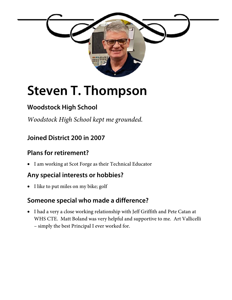

# **Steven T. Thompson**

### **Woodstock High School**

*Woodstock High School kept me grounded.* 

#### **Joined District 200 in 2007**

#### **Plans for retirement?**

I am working at Scot Forge as their Technical Educator

#### **Any special interests or hobbies?**

• I like to put miles on my bike; golf

#### **Someone special who made a difference?**

 I had a very a close working relationship with Jeff Griffith and Pete Catan at WHS CTE. Matt Boland was very helpful and supportive to me. Art Vallicelli – simply the best Principal I ever worked for.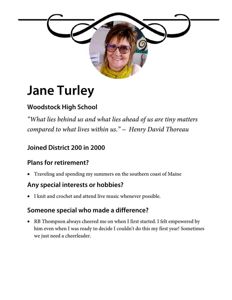

# **Jane Turley**

## **Woodstock High School**

*"What lies behind us and what lies ahead of us are tiny matters compared to what lives within us." ~ Henry David Thoreau*

### **Joined District 200 in 2000**

### **Plans for retirement?**

Traveling and spending my summers on the southern coast of Maine

#### **Any special interests or hobbies?**

I knit and crochet and attend live music whenever possible.

### **Someone special who made a difference?**

 RB Thompson always cheered me on when I first started. I felt empowered by him even when I was ready to decide I couldn't do this my first year! Sometimes we just need a cheerleader.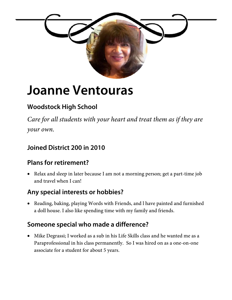

# **Joanne Ventouras**

### **Woodstock High School**

*Care for all students with your heart and treat them as if they are your own.*

#### **Joined District 200 in 2010**

### **Plans for retirement?**

• Relax and sleep in later because I am not a morning person; get a part-time job and travel when I can!

#### **Any special interests or hobbies?**

 Reading, baking, playing Words with Friends, and l have painted and furnished a doll house. I also like spending time with my family and friends.

#### **Someone special who made a difference?**

 Mike Degrassi; I worked as a sub in his Life Skills class and he wanted me as a Paraprofessional in his class permanently. So I was hired on as a one-on-one associate for a student for about 5 years.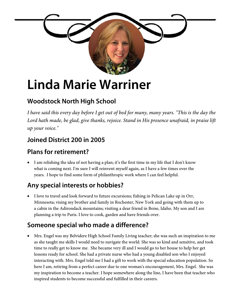

# **Linda Marie Warriner**

## **Woodstock North High School**

*I have said this every day before I get out of bed for many, many years. "This is the day the Lord hath made, be glad, give thanks, rejoice. Stand in His presence unafraid, in praise lift up your voice."*

### **Joined District 200 in 2005**

#### **Plans for retirement?**

 I am relishing the idea of not having a plan; it's the first time in my life that I don't know what is coming next. I'm sure I will reinvent myself again, as I have a few times over the years. I hope to find some form of philanthropic work where I can feel helpful.

### **Any special interests or hobbies?**

 I love to travel and look forward to future excursions; fishing in Pelican Lake up in Orr, Minnesota; vising my brother and family in Rochester, New York and going with them up to a cabin in the Adirondack mountains; visiting a dear friend in Boise, Idaho. My son and I are planning a trip to Paris. I love to cook, garden and have friends over.

#### **Someone special who made a difference?**

 Mrs. Engel was my Belvidere High School Family Living teacher; she was such an inspiration to me as she taught me skills I would need to navigate the world. She was so kind and sensitive, and took time to really get to know me. She became very ill and I would go to her house to help her get lessons ready for school. She had a private nurse who had a young disabled son who I enjoyed interacting with. Mrs. Engel told me I had a gift to work with the special education population. So here I am, retiring from a perfect career due to one woman's encouragement, Mrs. Engel. She was my inspiration to become a teacher. I hope somewhere along the line, I have been that teacher who inspired students to become successful and fulfilled in their careers.